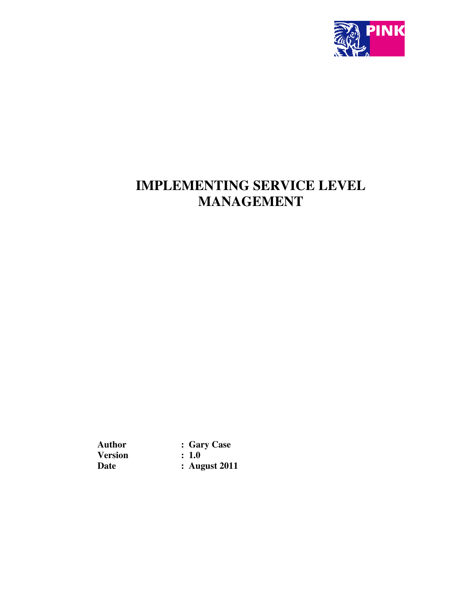

# **IMPLEMENTING SERVICE LEVEL MANAGEMENT**

**Version<br>Date** 

Author : Gary Case<br>Version : 1.0 **: August 2011**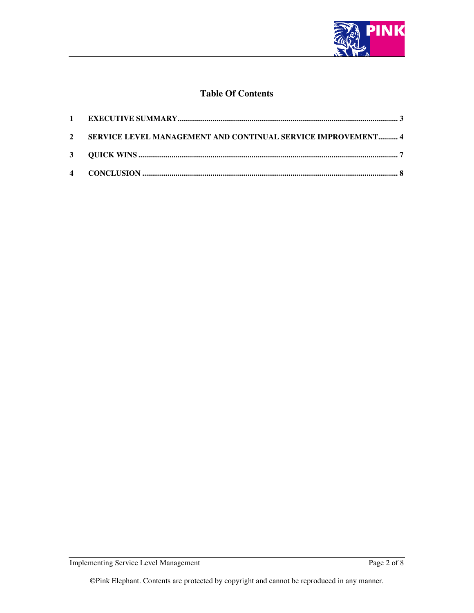

# **Table Of Contents**

| 2 SERVICE LEVEL MANAGEMENT AND CONTINUAL SERVICE IMPROVEMENT 4 |  |
|----------------------------------------------------------------|--|
|                                                                |  |
|                                                                |  |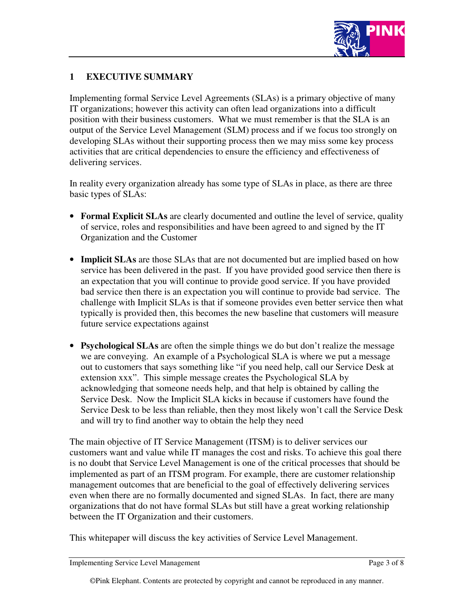

# **1 EXECUTIVE SUMMARY**

Implementing formal Service Level Agreements (SLAs) is a primary objective of many IT organizations; however this activity can often lead organizations into a difficult position with their business customers. What we must remember is that the SLA is an output of the Service Level Management (SLM) process and if we focus too strongly on developing SLAs without their supporting process then we may miss some key process activities that are critical dependencies to ensure the efficiency and effectiveness of delivering services.

In reality every organization already has some type of SLAs in place, as there are three basic types of SLAs:

- **Formal Explicit SLAs** are clearly documented and outline the level of service, quality of service, roles and responsibilities and have been agreed to and signed by the IT Organization and the Customer
- **Implicit SLAs** are those SLAs that are not documented but are implied based on how service has been delivered in the past. If you have provided good service then there is an expectation that you will continue to provide good service. If you have provided bad service then there is an expectation you will continue to provide bad service. The challenge with Implicit SLAs is that if someone provides even better service then what typically is provided then, this becomes the new baseline that customers will measure future service expectations against
- **Psychological SLAs** are often the simple things we do but don't realize the message we are conveying. An example of a Psychological SLA is where we put a message out to customers that says something like "if you need help, call our Service Desk at extension xxx". This simple message creates the Psychological SLA by acknowledging that someone needs help, and that help is obtained by calling the Service Desk. Now the Implicit SLA kicks in because if customers have found the Service Desk to be less than reliable, then they most likely won't call the Service Desk and will try to find another way to obtain the help they need

The main objective of IT Service Management (ITSM) is to deliver services our customers want and value while IT manages the cost and risks. To achieve this goal there is no doubt that Service Level Management is one of the critical processes that should be implemented as part of an ITSM program. For example, there are customer relationship management outcomes that are beneficial to the goal of effectively delivering services even when there are no formally documented and signed SLAs. In fact, there are many organizations that do not have formal SLAs but still have a great working relationship between the IT Organization and their customers.

This whitepaper will discuss the key activities of Service Level Management.

Implementing Service Level Management **Page 3 of 8** Page 3 of 8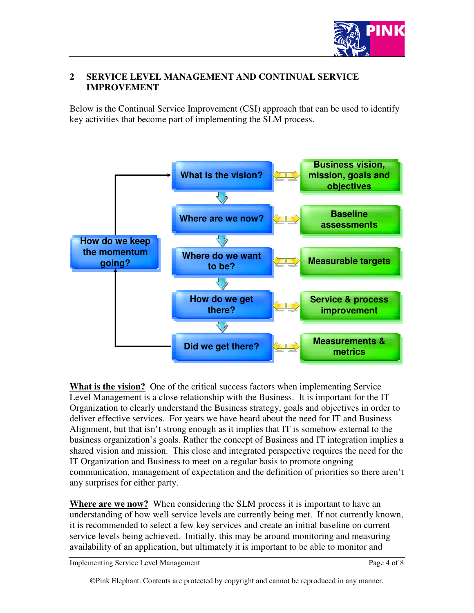

#### **2 SERVICE LEVEL MANAGEMENT AND CONTINUAL SERVICE IMPROVEMENT**

Below is the Continual Service Improvement (CSI) approach that can be used to identify key activities that become part of implementing the SLM process.



**What is the vision?** One of the critical success factors when implementing Service Level Management is a close relationship with the Business. It is important for the IT Organization to clearly understand the Business strategy, goals and objectives in order to deliver effective services. For years we have heard about the need for IT and Business Alignment, but that isn't strong enough as it implies that IT is somehow external to the business organization's goals. Rather the concept of Business and IT integration implies a shared vision and mission. This close and integrated perspective requires the need for the IT Organization and Business to meet on a regular basis to promote ongoing communication, management of expectation and the definition of priorities so there aren't any surprises for either party.

**Where are we now?** When considering the SLM process it is important to have an understanding of how well service levels are currently being met. If not currently known, it is recommended to select a few key services and create an initial baseline on current service levels being achieved. Initially, this may be around monitoring and measuring availability of an application, but ultimately it is important to be able to monitor and

Implementing Service Level Management **Page 4 of 8**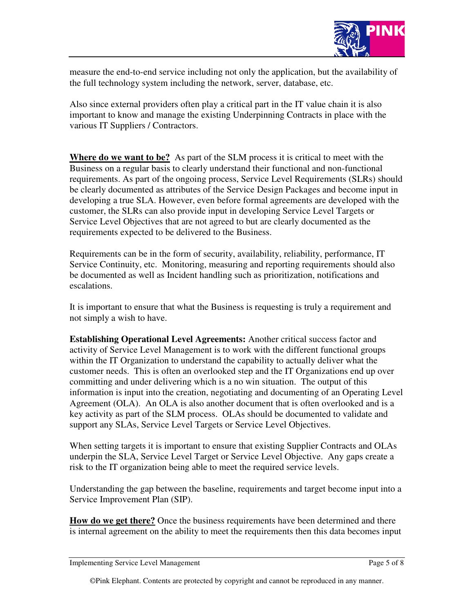

measure the end-to-end service including not only the application, but the availability of the full technology system including the network, server, database, etc.

Also since external providers often play a critical part in the IT value chain it is also important to know and manage the existing Underpinning Contracts in place with the various IT Suppliers / Contractors.

**Where do we want to be?** As part of the SLM process it is critical to meet with the Business on a regular basis to clearly understand their functional and non-functional requirements. As part of the ongoing process, Service Level Requirements (SLRs) should be clearly documented as attributes of the Service Design Packages and become input in developing a true SLA. However, even before formal agreements are developed with the customer, the SLRs can also provide input in developing Service Level Targets or Service Level Objectives that are not agreed to but are clearly documented as the requirements expected to be delivered to the Business.

Requirements can be in the form of security, availability, reliability, performance, IT Service Continuity, etc. Monitoring, measuring and reporting requirements should also be documented as well as Incident handling such as prioritization, notifications and escalations.

It is important to ensure that what the Business is requesting is truly a requirement and not simply a wish to have.

**Establishing Operational Level Agreements:** Another critical success factor and activity of Service Level Management is to work with the different functional groups within the IT Organization to understand the capability to actually deliver what the customer needs. This is often an overlooked step and the IT Organizations end up over committing and under delivering which is a no win situation. The output of this information is input into the creation, negotiating and documenting of an Operating Level Agreement (OLA). An OLA is also another document that is often overlooked and is a key activity as part of the SLM process. OLAs should be documented to validate and support any SLAs, Service Level Targets or Service Level Objectives.

When setting targets it is important to ensure that existing Supplier Contracts and OLAs underpin the SLA, Service Level Target or Service Level Objective. Any gaps create a risk to the IT organization being able to meet the required service levels.

Understanding the gap between the baseline, requirements and target become input into a Service Improvement Plan (SIP).

**How do we get there?** Once the business requirements have been determined and there is internal agreement on the ability to meet the requirements then this data becomes input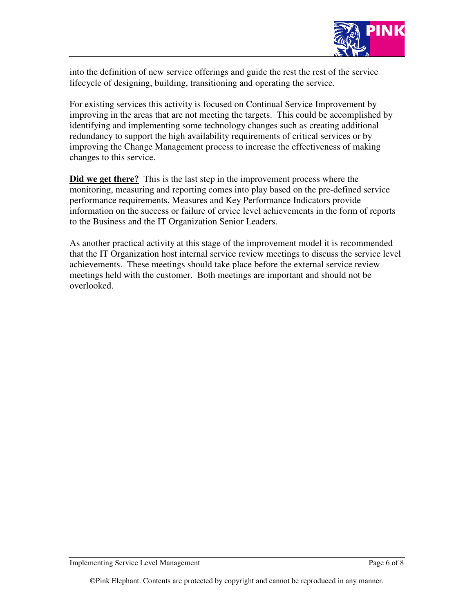

into the definition of new service offerings and guide the rest the rest of the service lifecycle of designing, building, transitioning and operating the service.

For existing services this activity is focused on Continual Service Improvement by improving in the areas that are not meeting the targets. This could be accomplished by identifying and implementing some technology changes such as creating additional redundancy to support the high availability requirements of critical services or by improving the Change Management process to increase the effectiveness of making changes to this service.

**Did we get there?** This is the last step in the improvement process where the monitoring, measuring and reporting comes into play based on the pre-defined service performance requirements. Measures and Key Performance Indicators provide information on the success or failure of ervice level achievements in the form of reports to the Business and the IT Organization Senior Leaders.

As another practical activity at this stage of the improvement model it is recommended that the IT Organization host internal service review meetings to discuss the service level achievements. These meetings should take place before the external service review meetings held with the customer. Both meetings are important and should not be overlooked.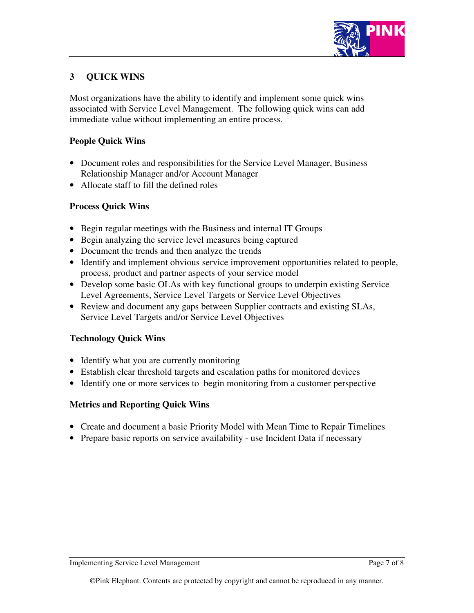

# **3 QUICK WINS**

Most organizations have the ability to identify and implement some quick wins associated with Service Level Management. The following quick wins can add immediate value without implementing an entire process.

#### **People Quick Wins**

- Document roles and responsibilities for the Service Level Manager, Business Relationship Manager and/or Account Manager
- Allocate staff to fill the defined roles

#### **Process Quick Wins**

- Begin regular meetings with the Business and internal IT Groups
- Begin analyzing the service level measures being captured
- Document the trends and then analyze the trends
- Identify and implement obvious service improvement opportunities related to people, process, product and partner aspects of your service model
- Develop some basic OLAs with key functional groups to underpin existing Service Level Agreements, Service Level Targets or Service Level Objectives
- Review and document any gaps between Supplier contracts and existing SLAs, Service Level Targets and/or Service Level Objectives

#### **Technology Quick Wins**

- Identify what you are currently monitoring
- Establish clear threshold targets and escalation paths for monitored devices
- Identify one or more services to begin monitoring from a customer perspective

# **Metrics and Reporting Quick Wins**

- Create and document a basic Priority Model with Mean Time to Repair Timelines
- Prepare basic reports on service availability use Incident Data if necessary